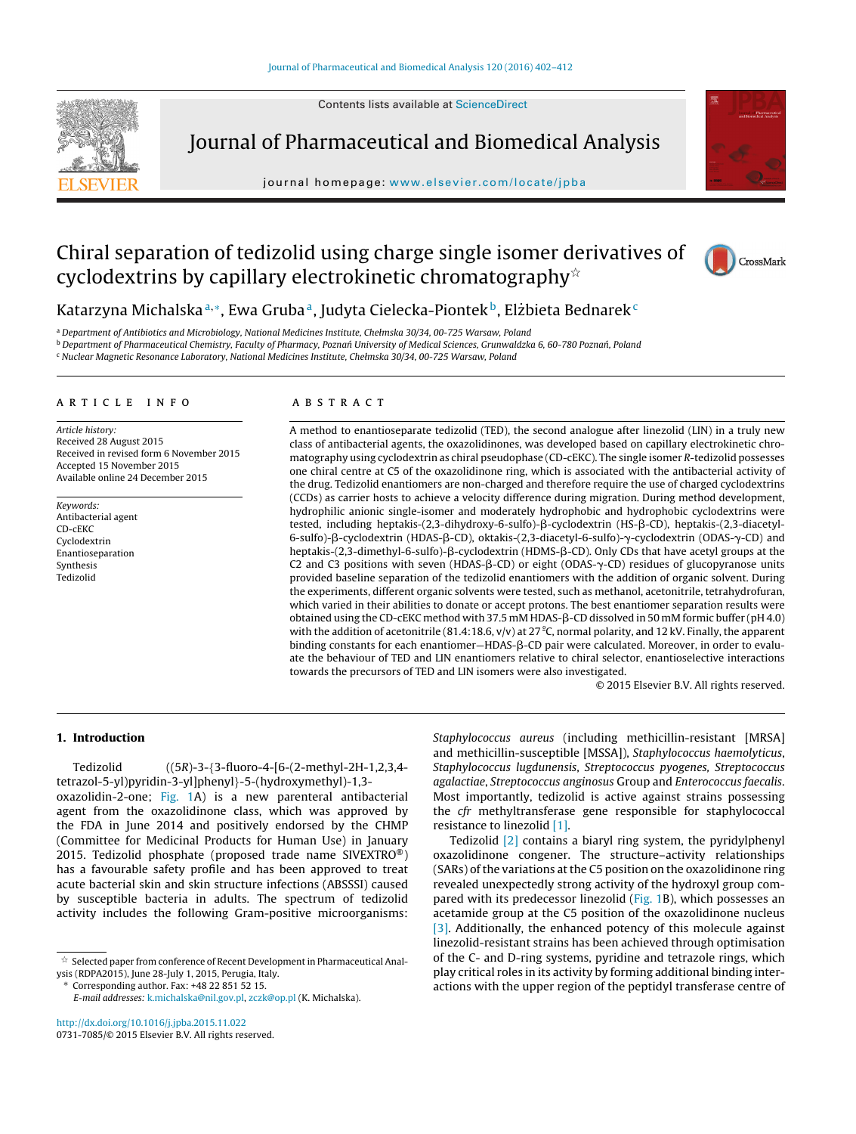Contents lists available at [ScienceDirect](http://www.sciencedirect.com/science/journal/07317085)



Journal of Pharmaceutical and Biomedical Analysis

iournal homepage: www.elsevier.com/locate/ipba



# Chiral separation of tedizolid using charge single isomer derivatives of cyclodextrins by capillary electrokinetic chromatography ${}^{\star}$



# Katarzyna Michalska<sup>a,∗</sup>, Ewa Gruba<sup>a</sup>, Judyta Cielecka-Piontek<sup>b</sup>, Elżbieta Bednarek<sup>c</sup>

<sup>a</sup> Department of Antibiotics and Microbiology, National Medicines Institute, Chełmska 30/34, 00-725 Warsaw, Poland

<sup>b</sup> Department of Pharmaceutical Chemistry, Faculty of Pharmacy, Poznań University of Medical Sciences, Grunwaldzka 6, 60-780 Poznań, Poland

<sup>c</sup> Nuclear Magnetic Resonance Laboratory, National Medicines Institute, Chełmska 30/34, 00-725 Warsaw, Poland

a r t i c l e i n f o

Article history: Received 28 August 2015 Received in revised form 6 November 2015 Accepted 15 November 2015 Available online 24 December 2015

Keywords: Antibacterial agent CD-cEKC Cyclodextrin Enantioseparation Synthesis Tedizolid

## A B S T R A C T

A method to enantioseparate tedizolid (TED), the second analogue after linezolid (LIN) in a truly new class of antibacterial agents, the oxazolidinones, was developed based on capillary electrokinetic chromatography using cyclodextrin as chiral pseudophase (CD-cEKC). The single isomer R-tedizolid possesses one chiral centre at C5 of the oxazolidinone ring, which is associated with the antibacterial activity of the drug. Tedizolid enantiomers are non-charged and therefore require the use of charged cyclodextrins (CCDs) as carrier hosts to achieve a velocity difference during migration. During method development, hydrophilic anionic single-isomer and moderately hydrophobic and hydrophobic cyclodextrins were tested, including heptakis-(2,3-dihydroxy-6-sulfo)-β-cyclodextrin (HS-β-CD), heptakis-(2,3-diacetyl-6-sulfo)-β-cyclodextrin (HDAS-β-CD), oktakis-(2,3-diacetyl-6-sulfo)-γ-cyclodextrin (ODAS-γ-CD) and heptakis-(2,3-dimethyl-6-sulfo)-β-cyclodextrin (HDMS-β-CD). Only CDs that have acetyl groups at the C2 and C3 positions with seven (HDAS- $\beta$ -CD) or eight (ODAS- $\gamma$ -CD) residues of glucopyranose units provided baseline separation of the tedizolid enantiomers with the addition of organic solvent. During the experiments, different organic solvents were tested, such as methanol, acetonitrile, tetrahydrofuran, which varied in their abilities to donate or accept protons. The best enantiomer separation results were obtained using the CD-cEKC method with 37.5 mM HDAS-ß-CD dissolved in 50 mM formic buffer (pH 4.0) with the addition of acetonitrile (81.4:18.6, v/v) at 27  $\rm ^{\circ}$ C, normal polarity, and 12 kV. Finally, the apparent binding constants for each enantiomer—HDAS-β-CD pair were calculated. Moreover, in order to evaluate the behaviour of TED and LIN enantiomers relative to chiral selector, enantioselective interactions towards the precursors of TED and LIN isomers were also investigated.

© 2015 Elsevier B.V. All rights reserved.

## **1. Introduction**

Tedizolid ((5R)-3-{3-fluoro-4-[6-(2-methyl-2H-1,2,3,4 tetrazol-5-yl)pyridin-3-yl]phenyl}-5-(hydroxymethyl)-1,3 oxazolidin-2-one; [Fig.](#page-1-0) 1A) is a new parenteral antibacterial agent from the oxazolidinone class, which was approved by the FDA in June 2014 and positively endorsed by the CHMP (Committee for Medicinal Products for Human Use) in January 2015. Tedizolid phosphate (proposed trade name SIVEXTRO $<sup>®</sup>$ )</sup> has a favourable safety profile and has been approved to treat acute bacterial skin and skin structure infections (ABSSSI) caused by susceptible bacteria in adults. The spectrum of tedizolid activity includes the following Gram-positive microorganisms:

∗ Corresponding author. Fax: +48 22 851 52 15.

[http://dx.doi.org/10.1016/j.jpba.2015.11.022](dx.doi.org/10.1016/j.jpba.2015.11.022) 0731-7085/© 2015 Elsevier B.V. All rights reserved. Staphylococcus aureus (including methicillin-resistant [MRSA] and methicillin-susceptible [MSSA]), Staphylococcus haemolyticus, Staphylococcus lugdunensis, Streptococcus pyogenes, Streptococcus agalactiae, Streptococcus anginosus Group and Enterococcus faecalis. Most importantly, tedizolid is active against strains possessing the cfr methyltransferase gene responsible for staphylococcal resistance to linezolid [\[1\].](#page--1-0)

Tedizolid [\[2\]](#page--1-0) contains a biaryl ring system, the pyridylphenyl oxazolidinone congener. The structure–activity relationships (SARs) of the variations at the C5 position on the oxazolidinone ring revealed unexpectedly strong activity of the hydroxyl group com-pared with its predecessor linezolid [\(Fig.](#page-1-0) 1B), which possesses an acetamide group at the C5 position of the oxazolidinone nucleus [\[3\].](#page--1-0) Additionally, the enhanced potency of this molecule against linezolid-resistant strains has been achieved through optimisation of the C- and D-ring systems, pyridine and tetrazole rings, which play critical roles in its activity by forming additional binding interactions with the upper region of the peptidyl transferase centre of

 $\mathrm{\acute{e}t}\,$  Selected paper from conference of Recent Development in Pharmaceutical Analysis (RDPA2015), June 28-July 1, 2015, Perugia, Italy.

E-mail addresses: [k.michalska@nil.gov.pl](mailto:k.michalska@nil.gov.pl), [zczk@op.pl](mailto:zczk@op.pl) (K. Michalska).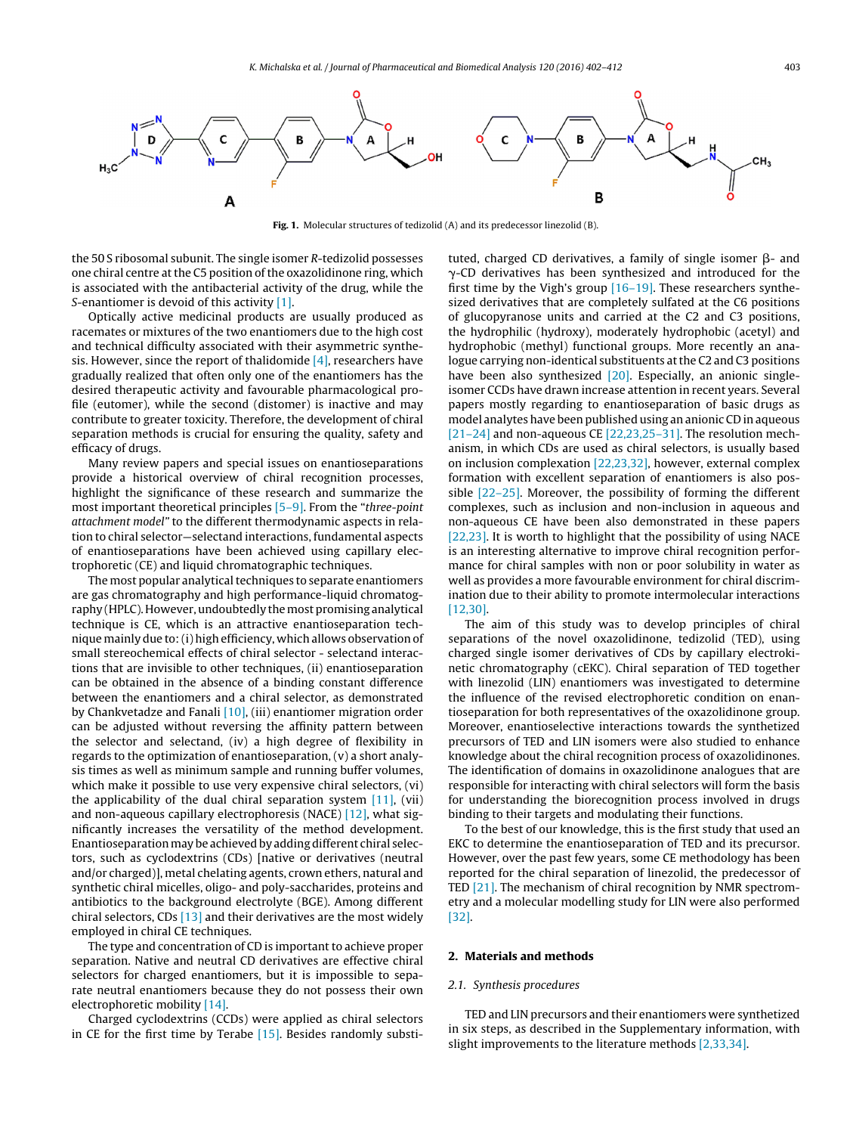<span id="page-1-0"></span>

**Fig. 1.** Molecular structures of tedizolid (A) and its predecessor linezolid (B).

the 50 S ribosomal subunit. The single isomer R-tedizolid possesses one chiral centre at the C5 position of the oxazolidinone ring, which is associated with the antibacterial activity of the drug, while the S-enantiomer is devoid of this activity [\[1\].](#page--1-0)

Optically active medicinal products are usually produced as racemates or mixtures of the two enantiomers due to the high cost and technical difficulty associated with their asymmetric synthesis. However, since the report of thalidomide [\[4\],](#page--1-0) researchers have gradually realized that often only one of the enantiomers has the desired therapeutic activity and favourable pharmacological profile (eutomer), while the second (distomer) is inactive and may contribute to greater toxicity. Therefore, the development of chiral separation methods is crucial for ensuring the quality, safety and efficacy of drugs.

Many review papers and special issues on enantioseparations provide a historical overview of chiral recognition processes, highlight the significance of these research and summarize the most important theoretical principles [5-9]. From the "three-point" attachment model" to the different thermodynamic aspects in relation to chiral selector—selectand interactions, fundamental aspects of enantioseparations have been achieved using capillary electrophoretic (CE) and liquid chromatographic techniques.

The most popular analytical techniques to separate enantiomers are gas chromatography and high performance-liquid chromatography (HPLC). However, undoubtedly the most promising analytical technique is CE, which is an attractive enantioseparation technique mainly due to:(i) high efficiency, which allows observation of small stereochemical effects of chiral selector - selectand interactions that are invisible to other techniques, (ii) enantioseparation can be obtained in the absence of a binding constant difference between the enantiomers and a chiral selector, as demonstrated by Chankvetadze and Fanali [\[10\],](#page--1-0) (iii) enantiomer migration order can be adjusted without reversing the affinity pattern between the selector and selectand, (iv) a high degree of flexibility in regards to the optimization of enantioseparation, (v) a short analysis times as well as minimum sample and running buffer volumes, which make it possible to use very expensive chiral selectors, (vi) the applicability of the dual chiral separation system  $[11]$ , (vii) and non-aqueous capillary electrophoresis (NACE) [\[12\],](#page--1-0) what significantly increases the versatility of the method development. Enantioseparation may be achieved by adding different chiral selectors, such as cyclodextrins (CDs) [native or derivatives (neutral and/or charged)], metal chelating agents, crown ethers, natural and synthetic chiral micelles, oligo- and poly-saccharides, proteins and antibiotics to the background electrolyte (BGE). Among different chiral selectors, CDs  $[13]$  and their derivatives are the most widely employed in chiral CE techniques.

The type and concentration of CD is important to achieve proper separation. Native and neutral CD derivatives are effective chiral selectors for charged enantiomers, but it is impossible to separate neutral enantiomers because they do not possess their own electrophoretic mobility [\[14\].](#page--1-0)

Charged cyclodextrins (CCDs) were applied as chiral selectors in CE for the first time by Terabe [\[15\].](#page--1-0) Besides randomly substi-

tuted, charged CD derivatives, a family of single isomer  $\beta$ - and  $\gamma$ -CD derivatives has been synthesized and introduced for the first time by the Vigh's group [\[16–19\].](#page--1-0) These researchers synthesized derivatives that are completely sulfated at the C6 positions of glucopyranose units and carried at the C2 and C3 positions, the hydrophilic (hydroxy), moderately hydrophobic (acetyl) and hydrophobic (methyl) functional groups. More recently an analogue carrying non-identical substituents at the C2 and C3 positions have been also synthesized [\[20\].](#page--1-0) Especially, an anionic singleisomer CCDs have drawn increase attention in recent years. Several papers mostly regarding to enantioseparation of basic drugs as model analytes have been published using an anionic CD in aqueous [\[21–24\]](#page--1-0) and non-aqueous CE  $[22,23,25-31]$ . The resolution mechanism, in which CDs are used as chiral selectors, is usually based on inclusion complexation [\[22,23,32\],](#page--1-0) however, external complex formation with excellent separation of enantiomers is also possible [\[22–25\].](#page--1-0) Moreover, the possibility of forming the different complexes, such as inclusion and non-inclusion in aqueous and non-aqueous CE have been also demonstrated in these papers [\[22,23\].](#page--1-0) It is worth to highlight that the possibility of using NACE is an interesting alternative to improve chiral recognition performance for chiral samples with non or poor solubility in water as well as provides a more favourable environment for chiral discrimination due to their ability to promote intermolecular interactions [\[12,30\].](#page--1-0)

The aim of this study was to develop principles of chiral separations of the novel oxazolidinone, tedizolid (TED), using charged single isomer derivatives of CDs by capillary electrokinetic chromatography (cEKC). Chiral separation of TED together with linezolid (LIN) enantiomers was investigated to determine the influence of the revised electrophoretic condition on enantioseparation for both representatives of the oxazolidinone group. Moreover, enantioselective interactions towards the synthetized precursors of TED and LIN isomers were also studied to enhance knowledge about the chiral recognition process of oxazolidinones. The identification of domains in oxazolidinone analogues that are responsible for interacting with chiral selectors will form the basis for understanding the biorecognition process involved in drugs binding to their targets and modulating their functions.

To the best of our knowledge, this is the first study that used an EKC to determine the enantioseparation of TED and its precursor. However, over the past few years, some CE methodology has been reported for the chiral separation of linezolid, the predecessor of TED [\[21\].](#page--1-0) The mechanism of chiral recognition by NMR spectrometry and a molecular modelling study for LIN were also performed [\[32\].](#page--1-0)

## **2. Materials and methods**

#### 2.1. Synthesis procedures

TED and LIN precursors and their enantiomers were synthetized in six steps, as described in the Supplementary information, with slight improvements to the literature methods [\[2,33,34\].](#page--1-0)